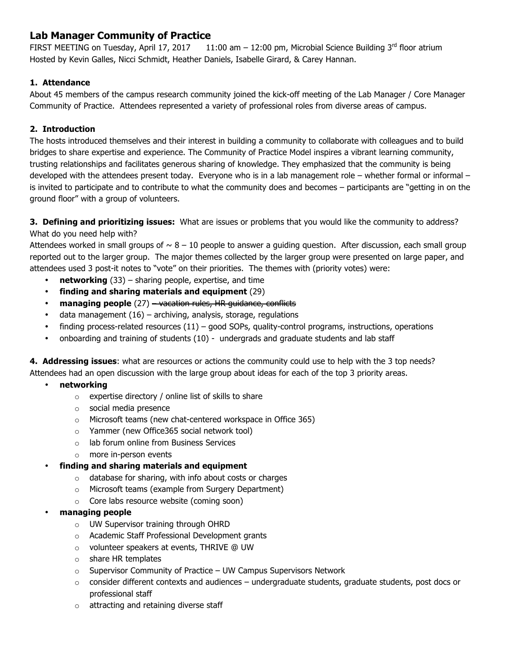## **Lab Manager Community of Practice**

FIRST MEETING on Tuesday, April 17, 2017 11:00 am  $-$  12:00 pm, Microbial Science Building 3<sup>rd</sup> floor atrium Hosted by Kevin Galles, Nicci Schmidt, Heather Daniels, Isabelle Girard, & Carey Hannan.

## **1. Attendance**

About 45 members of the campus research community joined the kick-off meeting of the Lab Manager / Core Manager Community of Practice. Attendees represented a variety of professional roles from diverse areas of campus.

## **2. Introduction**

The hosts introduced themselves and their interest in building a community to collaborate with colleagues and to build bridges to share expertise and experience. The Community of Practice Model inspires a vibrant learning community, trusting relationships and facilitates generous sharing of knowledge. They emphasized that the community is being developed with the attendees present today. Everyone who is in a lab management role – whether formal or informal – is invited to participate and to contribute to what the community does and becomes – participants are "getting in on the ground floor" with a group of volunteers.

**3. Defining and prioritizing issues:** What are issues or problems that you would like the community to address? What do you need help with?

Attendees worked in small groups of  $\sim 8 - 10$  people to answer a guiding question. After discussion, each small group reported out to the larger group. The major themes collected by the larger group were presented on large paper, and attendees used 3 post-it notes to "vote" on their priorities. The themes with (priority votes) were:

- **networking** (33) sharing people, expertise, and time
- **finding and sharing materials and equipment** (29)
- **managing people** (27) vacation rules, HR guidance, conflicts
- data management  $(16)$  archiving, analysis, storage, regulations
- finding process-related resources  $(11)$  good SOPs, quality-control programs, instructions, operations
- onboarding and training of students (10) undergrads and graduate students and lab staff

**4. Addressing issues**: what are resources or actions the community could use to help with the 3 top needs? Attendees had an open discussion with the large group about ideas for each of the top 3 priority areas.

- **networking**
	- o expertise directory / online list of skills to share
	- o social media presence
	- o Microsoft teams (new chat-centered workspace in Office 365)
	- o Yammer (new Office365 social network tool)
	- o lab forum online from Business Services
	- o more in-person events
- **finding and sharing materials and equipment**
	- o database for sharing, with info about costs or charges
	- o Microsoft teams (example from Surgery Department)
	- o Core labs resource website (coming soon)
- **managing people**
	- o UW Supervisor training through OHRD
	- o Academic Staff Professional Development grants
	- o volunteer speakers at events, THRIVE @ UW
	- o share HR templates
	- $\circ$  Supervisor Community of Practice UW Campus Supervisors Network
	- $\circ$  consider different contexts and audiences undergraduate students, graduate students, post docs or professional staff
	- o attracting and retaining diverse staff